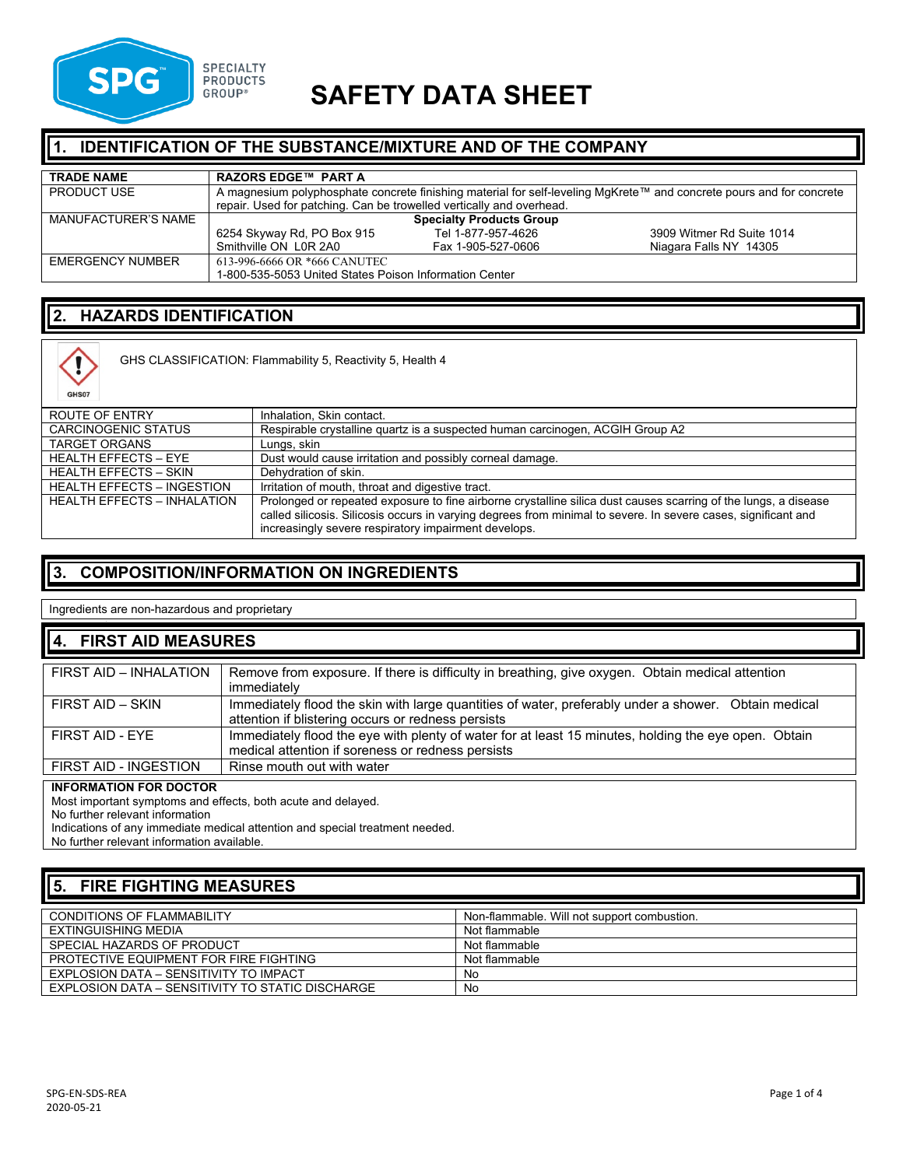

# **SAFETY DATA SHEET**

#### **1. IDENTIFICATION OF THE SUBSTANCE/MIXTURE AND OF THE COMPANY**

| <b>TRADE NAME</b>   | <b>RAZORS EDGE™ PART A</b>                                                                                           |                    |                           |
|---------------------|----------------------------------------------------------------------------------------------------------------------|--------------------|---------------------------|
| <b>PRODUCT USE</b>  | A magnesium polyphosphate concrete finishing material for self-leveling MgKrete™ and concrete pours and for concrete |                    |                           |
|                     | repair. Used for patching. Can be trowelled vertically and overhead.                                                 |                    |                           |
| MANUFACTURER'S NAME | <b>Specialty Products Group</b>                                                                                      |                    |                           |
|                     | 6254 Skyway Rd, PO Box 915                                                                                           | Tel 1-877-957-4626 | 3909 Witmer Rd Suite 1014 |
|                     | Smithville ON L0R 2A0                                                                                                | Fax 1-905-527-0606 | Niagara Falls NY 14305    |
| EMERGENCY NUMBER    | 613-996-6666 OR *666 CANUTEC                                                                                         |                    |                           |
|                     | 1-800-535-5053 United States Poison Information Center                                                               |                    |                           |

### **2. HAZARDS IDENTIFICATION**

| GHS07 |
|-------|

GHS CLASSIFICATION: Flammability 5, Reactivity 5, Health 4

| $rac{1}{2}$                        |                                                                                                                                                                                                                                                                                           |
|------------------------------------|-------------------------------------------------------------------------------------------------------------------------------------------------------------------------------------------------------------------------------------------------------------------------------------------|
| ROUTE OF ENTRY                     | Inhalation. Skin contact.                                                                                                                                                                                                                                                                 |
| <b>CARCINOGENIC STATUS</b>         | Respirable crystalline quartz is a suspected human carcinogen, ACGIH Group A2                                                                                                                                                                                                             |
| <b>TARGET ORGANS</b>               | Lungs, skin                                                                                                                                                                                                                                                                               |
| <b>HEALTH EFFECTS - EYE</b>        | Dust would cause irritation and possibly corneal damage.                                                                                                                                                                                                                                  |
| <b>HEALTH EFFECTS - SKIN</b>       | Dehydration of skin.                                                                                                                                                                                                                                                                      |
| <b>HEALTH EFFECTS - INGESTION</b>  | Irritation of mouth, throat and digestive tract.                                                                                                                                                                                                                                          |
| <b>HEALTH EFFECTS - INHALATION</b> | Prolonged or repeated exposure to fine airborne crystalline silica dust causes scarring of the lungs, a disease<br>called silicosis. Silicosis occurs in varying degrees from minimal to severe. In severe cases, significant and<br>increasingly severe respiratory impairment develops. |

## **3. COMPOSITION/INFORMATION ON INGREDIENTS**

Ingredients are non-hazardous and proprietary

#### **4. FIRST AID MEASURES**

| FIRST AID - INHALATION | Remove from exposure. If there is difficulty in breathing, give oxygen. Obtain medical attention     |
|------------------------|------------------------------------------------------------------------------------------------------|
|                        | immediately                                                                                          |
| FIRST AID – SKIN       | Immediately flood the skin with large quantities of water, preferably under a shower. Obtain medical |
|                        | attention if blistering occurs or redness persists                                                   |
| FIRST AID - EYE        | Immediately flood the eye with plenty of water for at least 15 minutes, holding the eye open. Obtain |
|                        | medical attention if soreness or redness persists                                                    |
| FIRST AID - INGESTION  | Rinse mouth out with water                                                                           |

#### **INFORMATION FOR DOCTOR**

Most important symptoms and effects, both acute and delayed.

No further relevant information

Indications of any immediate medical attention and special treatment needed.

No further relevant information available.

## **5. FIRE FIGHTING MEASURES**

| <b>CONDITIONS OF FLAMMABILITY</b>                | Non-flammable. Will not support combustion. |
|--------------------------------------------------|---------------------------------------------|
| EXTINGUISHING MEDIA                              | Not flammable                               |
| SPECIAL HAZARDS OF PRODUCT                       | Not flammable                               |
| PROTECTIVE EQUIPMENT FOR FIRE FIGHTING           | Not flammable                               |
| <b>EXPLOSION DATA - SENSITIVITY TO IMPACT</b>    | No                                          |
| EXPLOSION DATA – SENSITIVITY TO STATIC DISCHARGE | No                                          |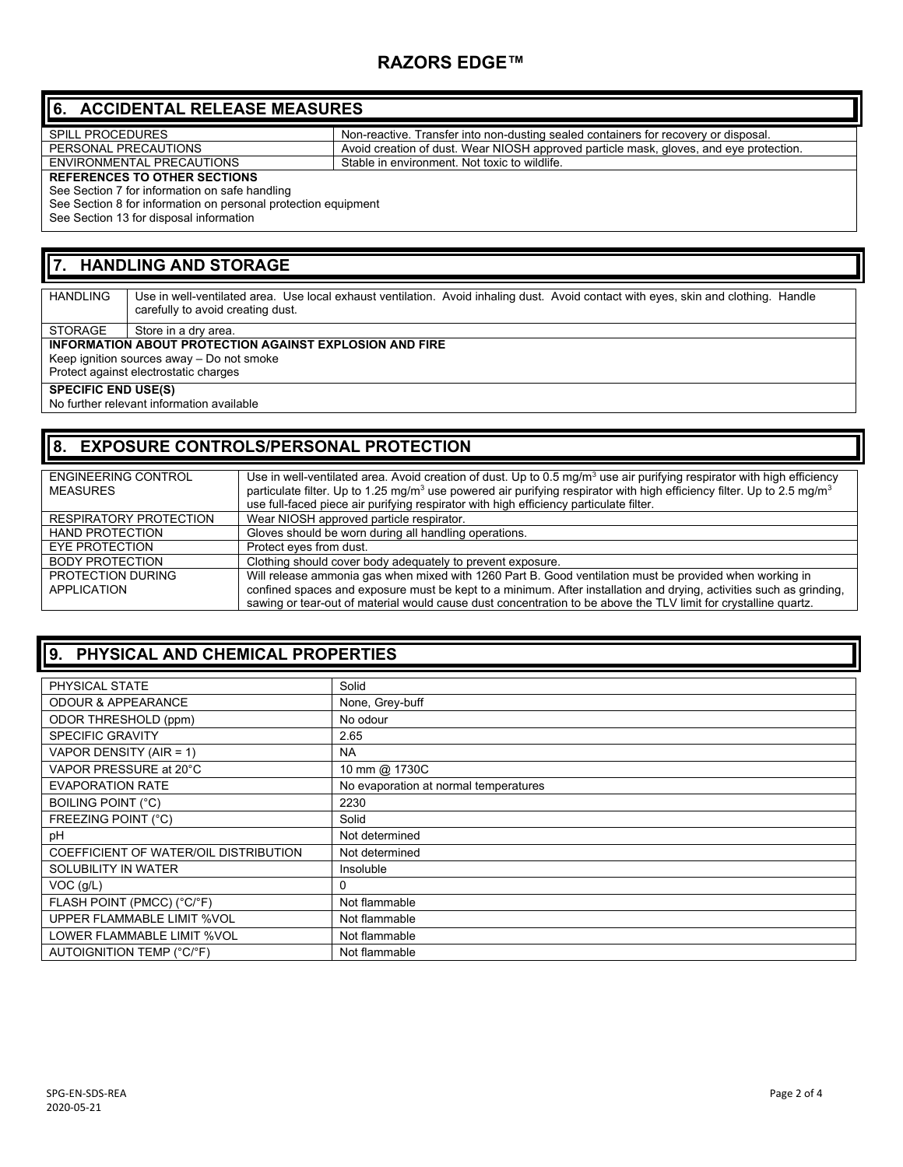#### **RAZORS EDGE™**

#### **6. ACCIDENTAL RELEASE MEASURES**

| SPILL PROCEDURES                    | Non-reactive. Transfer into non-dusting sealed containers for recovery or disposal.    |
|-------------------------------------|----------------------------------------------------------------------------------------|
| PERSONAL PRECAUTIONS                | Avoid creation of dust. Wear NIOSH approved particle mask, gloves, and eye protection. |
| ENVIRONMENTAL PRECAUTIONS           | Stable in environment. Not toxic to wildlife.                                          |
| <b>REFERENCES TO OTHER SECTIONS</b> |                                                                                        |
| .                                   |                                                                                        |

See Section 7 for information on safe handling

See Section 8 for information on personal protection equipment

See Section 13 for disposal information

### **7. HANDLING AND STORAGE**

HANDLING Use in well-ventilated area. Use local exhaust ventilation. Avoid inhaling dust. Avoid contact with eyes, skin and clothing. Handle carefully to avoid creating dust. STORAGE Store in a dry area.

**INFORMATION ABOUT PROTECTION AGAINST EXPLOSION AND FIRE**

Keep ignition sources away – Do not smoke

Protect against electrostatic charges

**SPECIFIC END USE(S)** 

No further relevant information available

### **8. EXPOSURE CONTROLS/PERSONAL PROTECTION**

| <b>ENGINEERING CONTROL</b><br><b>MEASURES</b> | Use in well-ventilated area. Avoid creation of dust. Up to 0.5 mg/m <sup>3</sup> use air purifying respirator with high efficiency<br>particulate filter. Up to 1.25 mg/m <sup>3</sup> use powered air purifying respirator with high efficiency filter. Up to 2.5 mg/m <sup>3</sup><br>use full-faced piece air purifying respirator with high efficiency particulate filter. |
|-----------------------------------------------|--------------------------------------------------------------------------------------------------------------------------------------------------------------------------------------------------------------------------------------------------------------------------------------------------------------------------------------------------------------------------------|
| RESPIRATORY PROTECTION                        | Wear NIOSH approved particle respirator.                                                                                                                                                                                                                                                                                                                                       |
| <b>HAND PROTECTION</b>                        | Gloves should be worn during all handling operations.                                                                                                                                                                                                                                                                                                                          |
| EYE PROTECTION                                | Protect eyes from dust.                                                                                                                                                                                                                                                                                                                                                        |
| <b>BODY PROTECTION</b>                        | Clothing should cover body adequately to prevent exposure.                                                                                                                                                                                                                                                                                                                     |
| PROTECTION DURING<br>APPLICATION              | Will release ammonia gas when mixed with 1260 Part B. Good ventilation must be provided when working in<br>confined spaces and exposure must be kept to a minimum. After installation and drying, activities such as grinding,<br>sawing or tear-out of material would cause dust concentration to be above the TLV limit for crystalline quartz.                              |

### **9. PHYSICAL AND CHEMICAL PROPERTIES**

| PHYSICAL STATE                        | Solid                                 |
|---------------------------------------|---------------------------------------|
| <b>ODOUR &amp; APPEARANCE</b>         | None, Grey-buff                       |
| ODOR THRESHOLD (ppm)                  | No odour                              |
| <b>SPECIFIC GRAVITY</b>               | 2.65                                  |
| VAPOR DENSITY (AIR = 1)               | <b>NA</b>                             |
| VAPOR PRESSURE at 20°C                | 10 mm @ 1730C                         |
| <b>EVAPORATION RATE</b>               | No evaporation at normal temperatures |
| BOILING POINT (°C)                    | 2230                                  |
| FREEZING POINT (°C)                   | Solid                                 |
| pH                                    | Not determined                        |
| COEFFICIENT OF WATER/OIL DISTRIBUTION | Not determined                        |
| SOLUBILITY IN WATER                   | <b>Insoluble</b>                      |
| $VOC$ ( $g/L$ )                       | 0                                     |
| FLASH POINT (PMCC) (°C/°F)            | Not flammable                         |
| UPPER FLAMMABLE LIMIT %VOL            | Not flammable                         |
| LOWER FLAMMABLE LIMIT %VOL            | Not flammable                         |
| <b>AUTOIGNITION TEMP (°C/°F)</b>      | Not flammable                         |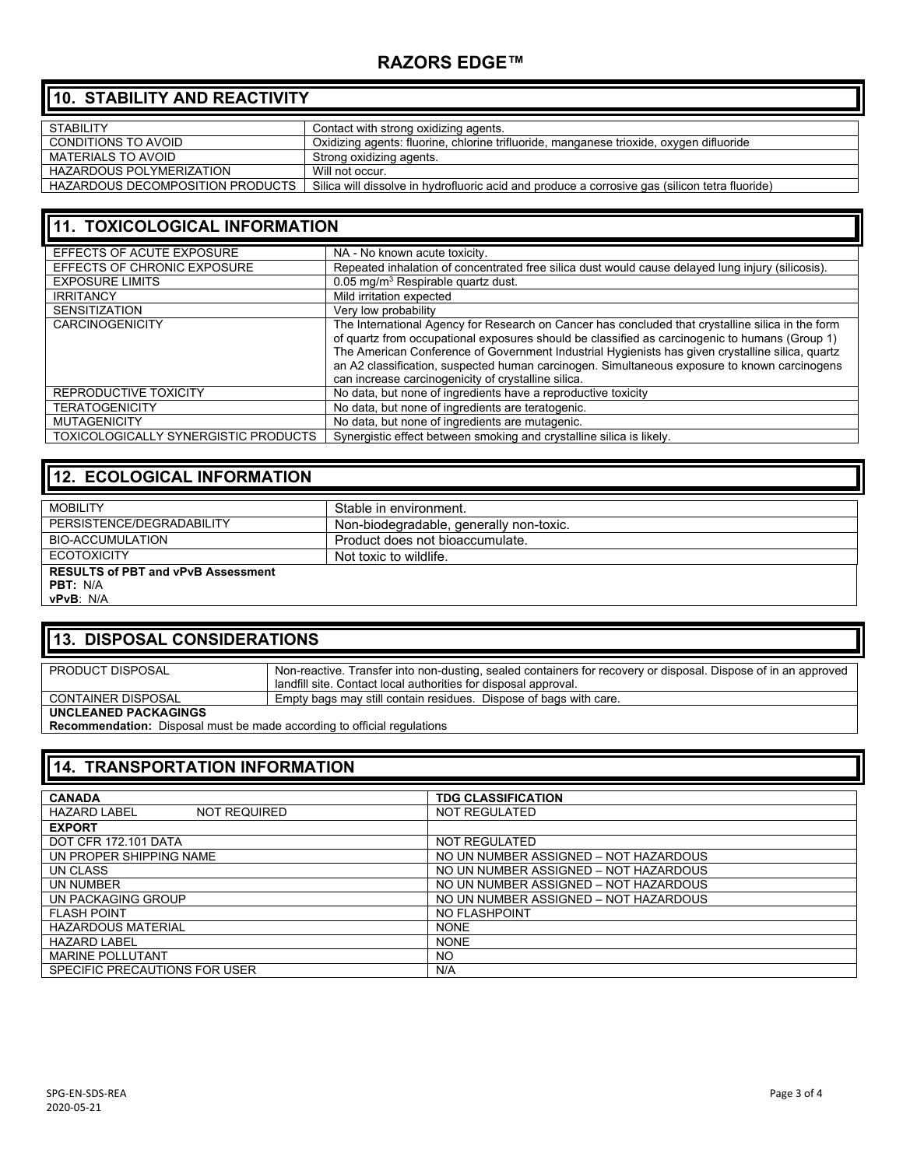#### **RAZORS EDGE™**

### **10. STABILITY AND REACTIVITY**

| <b>STABILITY</b>                 | Contact with strong oxidizing agents.                                                          |
|----------------------------------|------------------------------------------------------------------------------------------------|
| CONDITIONS TO AVOID              | Oxidizing agents: fluorine, chlorine trifluoride, manganese trioxide, oxygen difluoride        |
| MATERIALS TO AVOID               | Strong oxidizing agents.                                                                       |
| <b>HAZARDOUS POLYMERIZATION</b>  | Will not occur.                                                                                |
| HAZARDOUS DECOMPOSITION PRODUCTS | Silica will dissolve in hydrofluoric acid and produce a corrosive gas (silicon tetra fluoride) |

### **11. TOXICOLOGICAL INFORMATION**

| EFFECTS OF ACUTE EXPOSURE            | NA - No known acute toxicity.                                                                                                                                                                                                                                                                                                                                                                                                                                  |
|--------------------------------------|----------------------------------------------------------------------------------------------------------------------------------------------------------------------------------------------------------------------------------------------------------------------------------------------------------------------------------------------------------------------------------------------------------------------------------------------------------------|
| EFFECTS OF CHRONIC EXPOSURE          | Repeated inhalation of concentrated free silica dust would cause delayed lung injury (silicosis).                                                                                                                                                                                                                                                                                                                                                              |
| <b>EXPOSURE LIMITS</b>               | $0.05$ mg/m <sup>3</sup> Respirable quartz dust.                                                                                                                                                                                                                                                                                                                                                                                                               |
| <b>IRRITANCY</b>                     | Mild irritation expected                                                                                                                                                                                                                                                                                                                                                                                                                                       |
| <b>SENSITIZATION</b>                 | Very low probability                                                                                                                                                                                                                                                                                                                                                                                                                                           |
| <b>CARCINOGENICITY</b>               | The International Agency for Research on Cancer has concluded that crystalline silica in the form<br>of quartz from occupational exposures should be classified as carcinogenic to humans (Group 1)<br>The American Conference of Government Industrial Hygienists has given crystalline silica, quartz<br>an A2 classification, suspected human carcinogen. Simultaneous exposure to known carcinogens<br>can increase carcinogenicity of crystalline silica. |
| REPRODUCTIVE TOXICITY                | No data, but none of ingredients have a reproductive toxicity                                                                                                                                                                                                                                                                                                                                                                                                  |
| <b>TERATOGENICITY</b>                | No data, but none of ingredients are teratogenic.                                                                                                                                                                                                                                                                                                                                                                                                              |
| <b>MUTAGENICITY</b>                  | No data, but none of ingredients are mutagenic.                                                                                                                                                                                                                                                                                                                                                                                                                |
| TOXICOLOGICALLY SYNERGISTIC PRODUCTS | Synergistic effect between smoking and crystalline silica is likely.                                                                                                                                                                                                                                                                                                                                                                                           |

### **12. ECOLOGICAL INFORMATION**

| <b>MOBILITY</b>                           | Stable in environment.                  |  |
|-------------------------------------------|-----------------------------------------|--|
| PERSISTENCE/DEGRADABILITY                 | Non-biodegradable, generally non-toxic. |  |
| BIO-ACCUMULATION                          | Product does not bioaccumulate.         |  |
| <b>ECOTOXICITY</b>                        | Not toxic to wildlife.                  |  |
| <b>RESULTS of PBT and vPvB Assessment</b> |                                         |  |
| <b>PBT: N/A</b>                           |                                         |  |
| vPvB: N/A                                 |                                         |  |

#### **13. DISPOSAL CONSIDERATIONS**

| <b>PRODUCT DISPOSAL</b> |  |
|-------------------------|--|
|-------------------------|--|

Non-reactive. Transfer into non-dusting, sealed containers for recovery or disposal. Dispose of in an approved landfill site. Contact local authorities for disposal approval. CONTAINER DISPOSAL Empty bags may still contain residues. Dispose of bags with care.

**UNCLEANED PACKAGINGS**

**Recommendation:** Disposal must be made according to official regulations

#### **14. TRANSPORTATION INFORMATION**

| <b>CANADA</b>                              | <b>TDG CLASSIFICATION</b>             |
|--------------------------------------------|---------------------------------------|
| <b>NOT REQUIRED</b><br><b>HAZARD LABEL</b> | <b>NOT REGULATED</b>                  |
| <b>EXPORT</b>                              |                                       |
| DOT CFR 172.101 DATA                       | NOT REGULATED                         |
| UN PROPER SHIPPING NAME                    | NO UN NUMBER ASSIGNED - NOT HAZARDOUS |
| UN CLASS                                   | NO UN NUMBER ASSIGNED - NOT HAZARDOUS |
| UN NUMBER                                  | NO UN NUMBER ASSIGNED - NOT HAZARDOUS |
| UN PACKAGING GROUP                         | NO UN NUMBER ASSIGNED - NOT HAZARDOUS |
| <b>FLASH POINT</b>                         | NO FLASHPOINT                         |
| <b>HAZARDOUS MATERIAL</b>                  | <b>NONE</b>                           |
| <b>HAZARD LABEL</b>                        | <b>NONE</b>                           |
| <b>MARINE POLLUTANT</b>                    | <b>NO</b>                             |
| SPECIFIC PRECAUTIONS FOR USER              | N/A                                   |